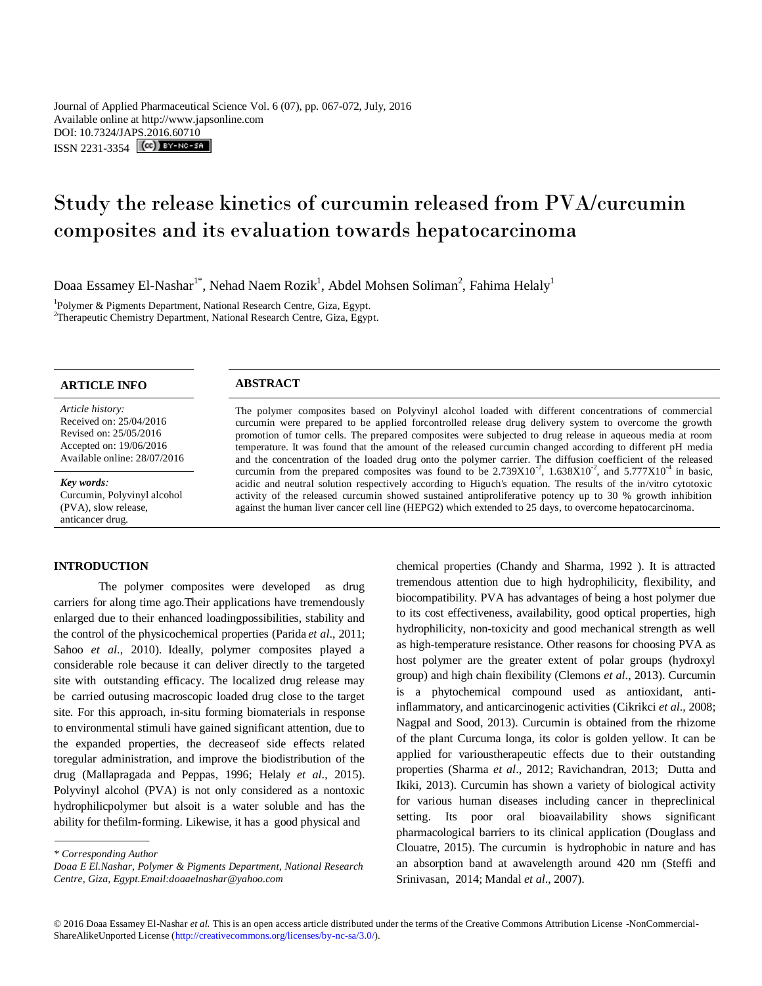Journal of Applied Pharmaceutical Science Vol. 6 (07), pp. 067-072, July, 2016 Available online at http://www.japsonline.com DOI: 10.7324/JA[PS.2016.60710](http://creativecommons.org/licenses/by-nc-sa/3.0/) ISSN 2231-3354 **(cc)** BY-NO-SA

# Study the release kinetics of curcumin released from PVA/curcumin composites and its evaluation towards hepatocarcinoma

Doaa Essamey El-Nashar $^{\text{1*}}$ , Nehad Naem Rozik $^{\text{l}}$ , Abdel Mohsen Soliman $^{\text{2}}$ , Fahima Helaly $^{\text{l}}$ 

<sup>1</sup>Polymer & Pigments Department, National Research Centre, Giza, Egypt. <sup>2</sup>Therapeutic Chemistry Department, National Research Centre, Giza, Egypt.

# **ARTICLE INFO ABSTRACT**

*Article history:* Received on: 25/04/2016 Revised on: 25/05/2016 Accepted on: 19/06/2016 Available online: 28/07/2016

*Key words:*  Curcumin, Polyvinyl alcohol (PVA), slow release, anticancer drug.

#### **INTRODUCTION**

The polymer composites were developed as drug carriers for along time ago.Their applications have tremendously enlarged due to their enhanced loadingpossibilities, stability and the control of the physicochemical properties (Parida *et al*., 2011; Sahoo *et al*., 2010). Ideally, polymer composites played a considerable role because it can deliver directly to the targeted site with outstanding efficacy. The localized drug release may be carried outusing macroscopic loaded drug close to the target site. For this approach, in-situ forming biomaterials in response to environmental stimuli have gained significant attention, due to the expanded properties, the decreaseof side effects related toregular administration, and improve the biodistribution of the drug (Mallapragada and Peppas, 1996; Helaly *et al*., 2015). Polyvinyl alcohol (PVA) is not only considered as a nontoxic hydrophilicpolymer but alsoit is a water soluble and has the ability for thefilm-forming. Likewise, it has a good physical and

chemical properties (Chandy and Sharma, 1992 ). It is attracted tremendous attention due to high hydrophilicity, flexibility, and biocompatibility. PVA has advantages of being a host polymer due to its cost effectiveness, availability, good optical properties, high hydrophilicity, non-toxicity and good mechanical strength as well as high-temperature resistance. Other reasons for choosing PVA as host polymer are the greater extent of polar groups (hydroxyl group) and high chain flexibility (Clemons *et al*., 2013). Curcumin is a phytochemical compound used as antioxidant, antiinflammatory, and anticarcinogenic activities (Cikrikci *et al*., 2008; Nagpal and Sood, 2013). Curcumin is obtained from the rhizome of the plant Curcuma longa, its color is golden yellow. It can be applied for varioustherapeutic effects due to their outstanding properties (Sharma *et al*., 2012; Ravichandran, 2013; Dutta and Ikiki, 2013). Curcumin has shown a variety of biological activity for various human diseases including cancer in thepreclinical setting. Its poor oral bioavailability shows significant pharmacological barriers to its clinical application (Douglass and Clouatre, 2015). The curcumin is hydrophobic in nature and has an absorption band at awavelength around 420 nm (Steffi and Srinivasan, 2014; Mandal *et al*., 2007).

© 2016 Doaa Essamey El-Nashar *et al.* This is an open access article distributed under the terms of the Creative Commons Attribution License -NonCommercial-ShareAlikeUnported License (http://creativecommons.org/licenses/by-nc-sa/3.0/).

The polymer composites based on Polyvinyl alcohol loaded with different concentrations of commercial curcumin were prepared to be applied forcontrolled release drug delivery system to overcome the growth promotion of tumor cells. The prepared composites were subjected to drug release in aqueous media at room temperature. It was found that the amount of the released curcumin changed according to different pH media and the concentration of the loaded drug onto the polymer carrier. The diffusion coefficient of the released curcumin from the prepared composites was found to be  $2.739X10^{-2}$ ,  $1.638X10^{-2}$ , and  $5.777X10^{-4}$  in basic, acidic and neutral solution respectively according to Higuch's equation. The results of the in/vitro cytotoxic activity of the released curcumin showed sustained antiproliferative potency up to 30 % growth inhibition against the human liver cancer cell line (HEPG2) which extended to 25 days, to overcome hepatocarcinoma.

*<sup>\*</sup> Corresponding Author*

*Doaa E El.Nashar, Polymer & Pigments Department, National Research Centre, Giza, Egypt.Email:doaaelnashar@yahoo.com*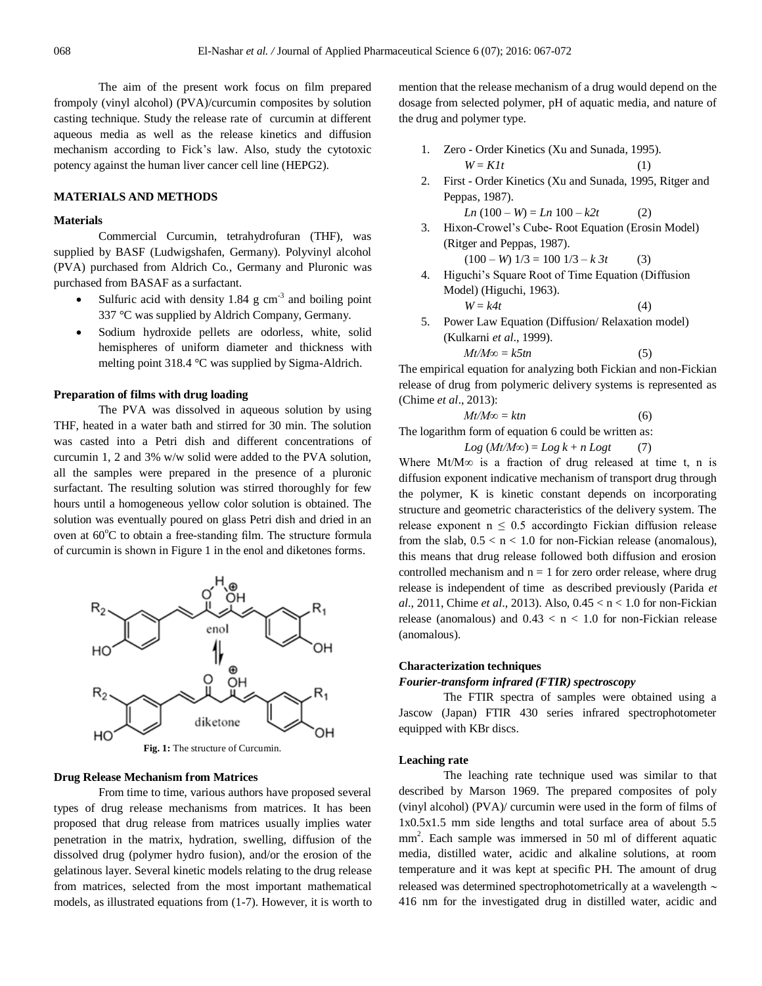The aim of the present work focus on film prepared frompoly (vinyl alcohol) (PVA)/curcumin composites by solution casting technique. Study the release rate of curcumin at different aqueous media as well as the release kinetics and diffusion mechanism according to Fick's law. Also, study the cytotoxic potency against the human liver cancer cell line (HEPG2).

#### **MATERIALS AND METHODS**

### **Materials**

Commercial Curcumin, tetrahydrofuran (THF), was supplied by BASF (Ludwigshafen, Germany). Polyvinyl alcohol (PVA) purchased from Aldrich Co., Germany and Pluronic was purchased from BASAF as a surfactant.

- Sulfuric acid with density 1.84  $\text{g cm}^{-3}$  and boiling point 337 °C was supplied by Aldrich Company, Germany.
- Sodium hydroxide pellets are odorless, white, solid hemispheres of uniform diameter and thickness with melting point 318.4 °C was supplied by Sigma-Aldrich.

#### **Preparation of films with drug loading**

The PVA was dissolved in aqueous solution by using THF, heated in a water bath and stirred for 30 min. The solution was casted into a Petri dish and different concentrations of curcumin 1, 2 and 3% w/w solid were added to the PVA solution, all the samples were prepared in the presence of a pluronic surfactant. The resulting solution was stirred thoroughly for few hours until a homogeneous yellow color solution is obtained. The solution was eventually poured on glass Petri dish and dried in an oven at  $60^{\circ}$ C to obtain a free-standing film. The structure formula of curcumin is shown in Figure 1 in the enol and diketones forms.



**Fig. 1:** The structure of Curcumin.

### **Drug Release Mechanism from Matrices**

From time to time, various authors have proposed several types of drug release mechanisms from matrices. It has been proposed that drug release from matrices usually implies water penetration in the matrix, hydration, swelling, diffusion of the dissolved drug (polymer hydro fusion), and/or the erosion of the gelatinous layer. Several kinetic models relating to the drug release from matrices, selected from the most important mathematical models, as illustrated equations from (1-7). However, it is worth to mention that the release mechanism of a drug would depend on the dosage from selected polymer, pH of aquatic media, and nature of the drug and polymer type.

- 1. Zero Order Kinetics (Xu and Sunada, 1995).  $W = Klt$  (1)
- 2. First Order Kinetics (Xu and Sunada, 1995, Ritger and Peppas, 1987).

$$
Ln (100 - W) = Ln 100 - k2t
$$
 (2)

3. Hixon-Crowel's Cube- Root Equation (Erosin Model) (Ritger and Peppas, 1987).

 $(100 - W)$   $1/3 = 100$   $1/3 - k$  3t (3)

4. Higuchi's Square Root of Time Equation (Diffusion Model) (Higuchi, 1963).  $W = kA_t$  (4)

$$
W = K4t \tag{4}
$$

5. Power Law Equation (Diffusion/ Relaxation model) (Kulkarni *et al*., 1999).  $Mt/M\infty = k5tn$  (5)

The empirical equation for analyzing both Fickian and non-Fickian release of drug from polymeric delivery systems is represented as (Chime *et al*., 2013):

$$
Mt/M\infty = ktn \tag{6}
$$

The logarithm form of equation 6 could be written as:

$$
Log (Mt/M\infty) = Log k + n Log t \tag{7}
$$

Where Mt/M∞ is a fraction of drug released at time t, n is diffusion exponent indicative mechanism of transport drug through the polymer, K is kinetic constant depends on incorporating structure and geometric characteristics of the delivery system. The release exponent  $n \leq 0.5$  according to Fickian diffusion release from the slab,  $0.5 < n < 1.0$  for non-Fickian release (anomalous), this means that drug release followed both diffusion and erosion controlled mechanism and  $n = 1$  for zero order release, where drug release is independent of time as described previously (Parida *et al*., 2011, Chime *et al*., 2013). Also, 0.45 < n < 1.0 for non-Fickian release (anomalous) and  $0.43 < n < 1.0$  for non-Fickian release (anomalous).

#### **Characterization techniques**

#### *Fourier-transform infrared (FTIR) spectroscopy*

The FTIR spectra of samples were obtained using a Jascow (Japan) FTIR 430 series infrared spectrophotometer equipped with KBr discs.

### **Leaching rate**

The leaching rate technique used was similar to that described by Marson 1969. The prepared composites of poly (vinyl alcohol) (PVA)/ curcumin were used in the form of films of 1x0.5x1.5 mm side lengths and total surface area of about 5.5 mm 2 . Each sample was immersed in 50 ml of different aquatic media, distilled water, acidic and alkaline solutions, at room temperature and it was kept at specific PH. The amount of drug released was determined spectrophotometrically at a wavelength  $\sim$ 416 nm for the investigated drug in distilled water, acidic and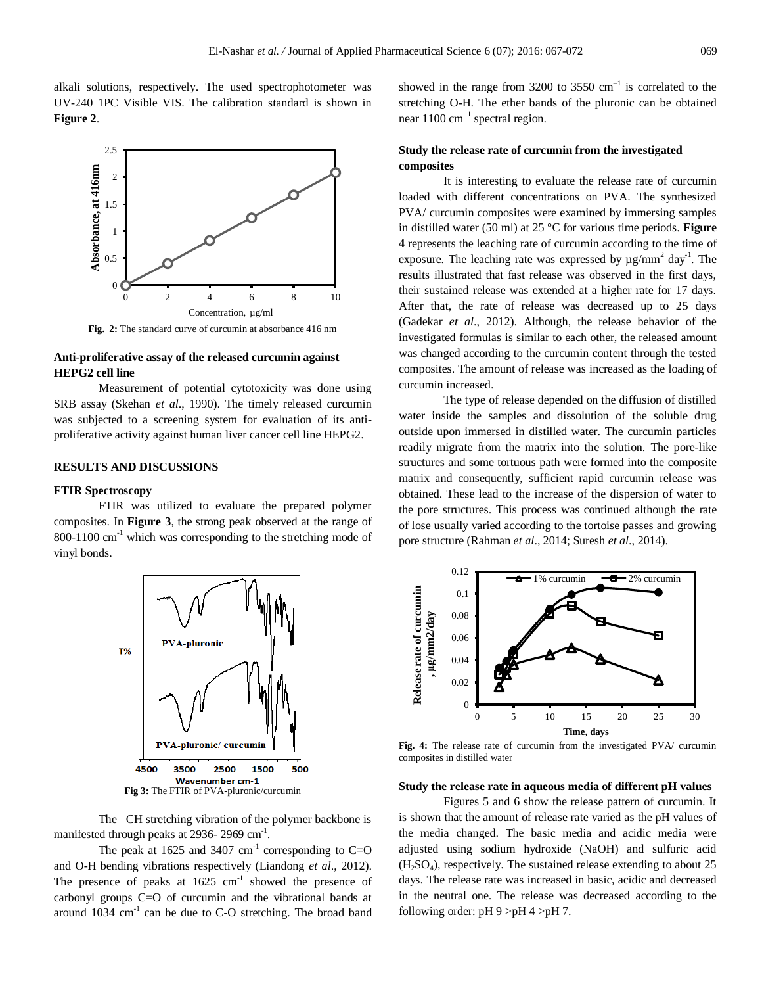alkali solutions, respectively. The used spectrophotometer was UV-240 1PC Visible VIS. The calibration standard is shown in **Figure 2**.



**Fig. 2:** The standard curve of curcumin at absorbance 416 nm

# **Anti-proliferative assay of the released curcumin against HEPG2 cell line**

Measurement of potential cytotoxicity was done using SRB assay (Skehan *et al*., 1990). The timely released curcumin was subjected to a screening system for evaluation of its antiproliferative activity against human liver cancer cell line HEPG2.

#### **RESULTS AND DISCUSSIONS**

#### **FTIR Spectroscopy**

FTIR was utilized to evaluate the prepared polymer composites. In **Figure 3**, the strong peak observed at the range of 800-1100  $\text{cm}^{-1}$  which was corresponding to the stretching mode of vinyl bonds.



The –CH stretching vibration of the polymer backbone is manifested through peaks at 2936-2969 cm<sup>-1</sup>.

The peak at 1625 and 3407  $\text{cm}^{-1}$  corresponding to C=O and O-H bending vibrations respectively (Liandong *et al*., 2012). The presence of peaks at  $1625 \text{ cm}^{-1}$  showed the presence of carbonyl groups C=O of curcumin and the vibrational bands at around  $1034 \text{ cm}^{-1}$  can be due to C-O stretching. The broad band

showed in the range from  $3200$  to  $3550 \text{ cm}^{-1}$  is correlated to the stretching O-H. The ether bands of the pluronic can be obtained near 1100 cm<sup>-1</sup> spectral region.

# **Study the release rate of curcumin from the investigated composites**

It is interesting to evaluate the release rate of curcumin loaded with different concentrations on PVA. The synthesized PVA/ curcumin composites were examined by immersing samples in distilled water (50 ml) at 25 °C for various time periods. **Figure 4** represents the leaching rate of curcumin according to the time of exposure. The leaching rate was expressed by  $\mu$ g/mm<sup>2</sup> day<sup>-1</sup>. The results illustrated that fast release was observed in the first days, their sustained release was extended at a higher rate for 17 days. After that, the rate of release was decreased up to 25 days (Gadekar *et al*., 2012). Although, the release behavior of the investigated formulas is similar to each other, the released amount was changed according to the curcumin content through the tested composites. The amount of release was increased as the loading of curcumin increased.

The type of release depended on the diffusion of distilled water inside the samples and dissolution of the soluble drug outside upon immersed in distilled water. The curcumin particles readily migrate from the matrix into the solution. The pore-like structures and some tortuous path were formed into the composite matrix and consequently, sufficient rapid curcumin release was obtained. These lead to the increase of the dispersion of water to the pore structures. This process was continued although the rate of lose usually varied according to the tortoise passes and growing pore structure (Rahman *et al*., 2014; Suresh *et al*., 2014).



Fig. 4: The release rate of curcumin from the investigated PVA/ curcumin composites in distilled water

#### **Study the release rate in aqueous media of different pH values**

Figures 5 and 6 show the release pattern of curcumin. It is shown that the amount of release rate varied as the pH values of the media changed. The basic media and acidic media were adjusted using sodium hydroxide (NaOH) and sulfuric acid  $(H<sub>2</sub>SO<sub>4</sub>)$ , respectively. The sustained release extending to about 25 days. The release rate was increased in basic, acidic and decreased in the neutral one. The release was decreased according to the following order:  $pH 9 > pH 4 > pH 7$ .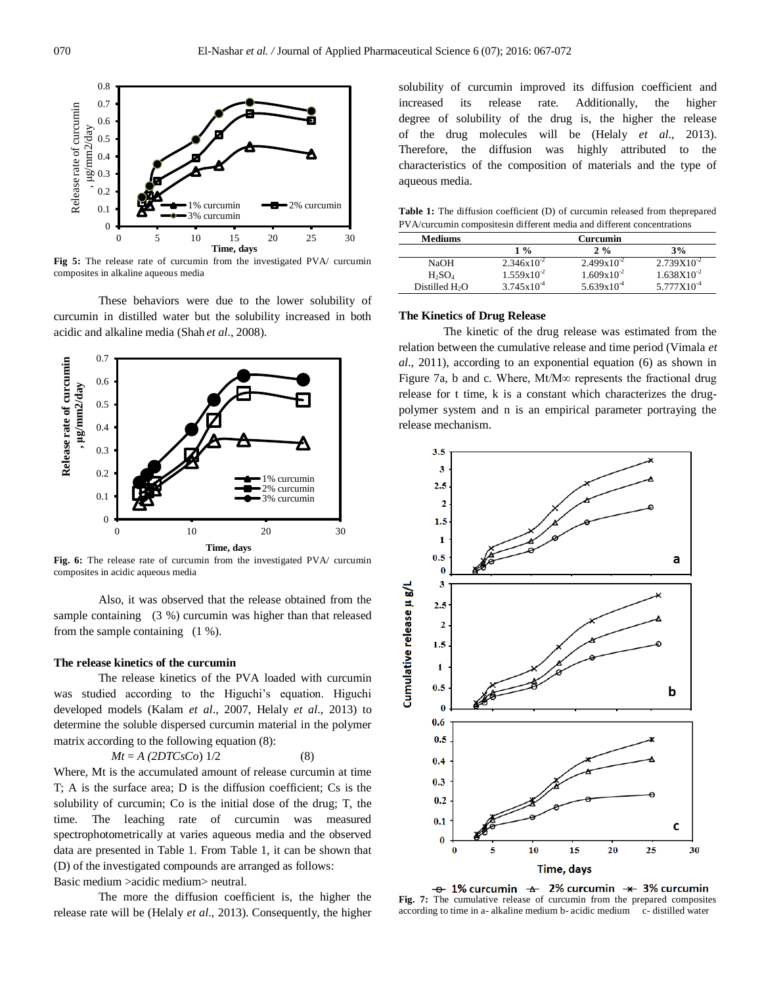

**Fig 5:** The release rate of curcumin from the investigated PVA/ curcumin composites in alkaline aqueous media

These behaviors were due to the lower solubility of curcumin in distilled water but the solubility increased in both acidic and alkaline media (Shah *et al*., 2008).



**Fig. 6:** The release rate of curcumin from the investigated PVA/ curcumin composites in acidic aqueous media

Also, it was observed that the release obtained from the sample containing (3 %) curcumin was higher than that released from the sample containing (1 %).

#### **The release kinetics of the curcumin**

The release kinetics of the PVA loaded with curcumin was studied according to the Higuchi's equation. Higuchi developed models (Kalam *et al*., 2007, Helaly *et al*., 2013) to determine the soluble dispersed curcumin material in the polymer matrix according to the following equation (8):

$$
Mt = A(2DTCsCo) 1/2
$$

Where, Mt is the accumulated amount of release curcumin at time T; A is the surface area; D is the diffusion coefficient; Cs is the solubility of curcumin; Co is the initial dose of the drug; T, the time. The leaching rate of curcumin was measured spectrophotometrically at varies aqueous media and the observed data are presented in Table 1. From Table 1, it can be shown that (D) of the investigated compounds are arranged as follows: Basic medium >acidic medium> neutral.

The more the diffusion coefficient is, the higher the release rate will be (Helaly *et al*., 2013). Consequently, the higher solubility of curcumin improved its diffusion coefficient and increased its release rate. Additionally, the higher degree of solubility of the drug is, the higher the release of the drug molecules will be (Helaly *et al*., 2013). Therefore, the diffusion was highly attributed to the characteristics of the composition of materials and the type of aqueous media.

**Table 1:** The diffusion coefficient (D) of curcumin released from theprepared PVA/curcumin compositesin different media and different concentrations

| <b>Mediums</b>             | Curcumin        |                 |                 |  |  |
|----------------------------|-----------------|-----------------|-----------------|--|--|
|                            | $1\%$           | $2\%$           | 3%              |  |  |
| NaOH                       | $2.346x10^{-2}$ | $2.499x10^{-2}$ | $2.739X10^{-2}$ |  |  |
| $H_2SO_4$                  | $1.559x10^{-2}$ | $1.609x10^{-2}$ | $1.638X10^{-2}$ |  |  |
| Distilled H <sub>2</sub> O | $3.745x10^{4}$  | $5.639x10^{4}$  | $5.777X10^{-4}$ |  |  |

#### **The Kinetics of Drug Release**

The kinetic of the drug release was estimated from the relation between the cumulative release and time period (Vimala *et al*., 2011), according to an exponential equation (6) as shown in Figure 7a, b and c. Where, Mt/M∞ represents the fractional drug release for t time, k is a constant which characterizes the drugpolymer system and n is an empirical parameter portraying the release mechanism.



**Fig. 7:** The cumulative release of curcumin from the prepared composites according to time in a- alkaline medium b- acidic medium c- distilled water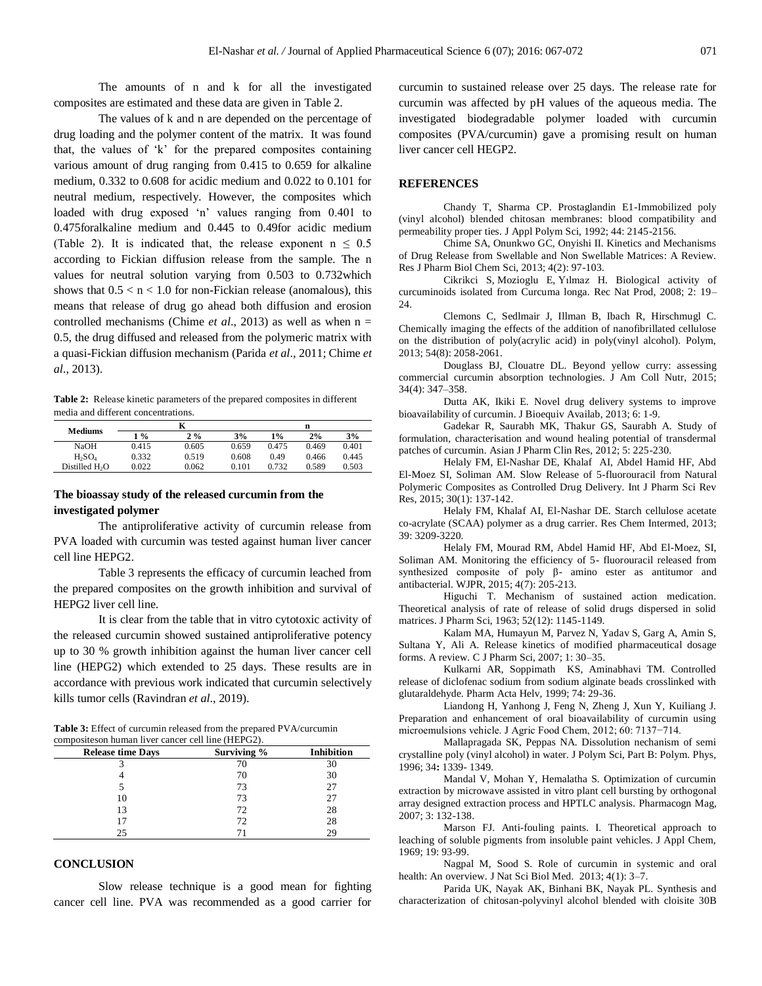The amounts of n and k for all the investigated composites are estimated and these data are given in Table 2.

The values of k and n are depended on the percentage of drug loading and the polymer content of the matrix. It was found that, the values of 'k' for the prepared composites containing various amount of drug ranging from 0.415 to 0.659 for alkaline medium, 0.332 to 0.608 for acidic medium and 0.022 to 0.101 for neutral medium, respectively. However, the composites which loaded with drug exposed 'n' values ranging from 0.401 to 0.475foralkaline medium and 0.445 to 0.49for acidic medium (Table 2). It is indicated that, the release exponent  $n \leq 0.5$ according to Fickian diffusion release from the sample. The n values for neutral solution varying from 0.503 to 0.732which shows that  $0.5 < n < 1.0$  for non-Fickian release (anomalous), this means that release of drug go ahead both diffusion and erosion controlled mechanisms (Chime *et al*., 2013) as well as when n = 0.5, the drug diffused and released from the polymeric matrix with a quasi-Fickian diffusion mechanism (Parida *et al*., 2011; Chime *et al*., 2013).

**Table 2:** Release kinetic parameters of the prepared composites in different media and different concentrations.

|                            | K             |       |       | n     |       |       |
|----------------------------|---------------|-------|-------|-------|-------|-------|
| <b>Mediums</b>             | $\frac{9}{6}$ | $2\%$ | 3%    | $1\%$ | 2%    | 3%    |
| <b>NaOH</b>                | 0.415         | 0.605 | 0.659 | 0.475 | 0.469 | 0.401 |
| $H_2SO_4$                  | 0.332         | 0.519 | 0.608 | 0.49  | 0.466 | 0.445 |
| Distilled H <sub>2</sub> O | 0.022         | 0.062 | 0.101 | 0.732 | 0.589 | 0.503 |

## **The bioassay study of the released curcumin from the investigated polymer**

The antiproliferative activity of curcumin release from PVA loaded with curcumin was tested against human liver cancer cell line HEPG2.

Table 3 represents the efficacy of curcumin leached from the prepared composites on the growth inhibition and survival of HEPG2 liver cell line.

It is clear from the table that in vitro cytotoxic activity of the released curcumin showed sustained antiproliferative potency up to 30 % growth inhibition against the human liver cancer cell line (HEPG2) which extended to 25 days. These results are in accordance with previous work indicated that curcumin selectively kills tumor cells (Ravindran *et al*., 2019).

**Table 3:** Effect of curcumin released from the prepared PVA/curcumin compositeson human liver cancer cell line (HEPG2).

| <b>Release time Days</b> | Surviving % | <b>Inhibition</b> |  |
|--------------------------|-------------|-------------------|--|
|                          | 70          | 30                |  |
|                          | 70          | 30                |  |
|                          | 73          | 27                |  |
| 10                       | 73          | 27                |  |
| 13                       | 72          | 28                |  |
|                          | 72          | 28                |  |
| 25                       |             | 29                |  |

#### **CONCLUSION**

Slow release technique is a good mean for fighting cancer cell line. PVA was recommended as a good carrier for curcumin to sustained release over 25 days. The release rate for curcumin was affected by pH values of the aqueous media. The investigated biodegradable polymer loaded with curcumin composites (PVA/curcumin) gave a promising result on human liver cancer cell HEGP2.

#### **REFERENCES**

Chandy T, Sharma CP. Prostaglandin E1-Immobilized poly (vinyl alcohol) blended chitosan membranes: blood compatibility and permeability proper ties. J Appl Polym Sci, 1992; 44: 2145-2156.

Chime SA, Onunkwo GC, Onyishi II. Kinetics and Mechanisms of Drug Release from Swellable and Non Swellable Matrices: A Review. Res J Pharm Biol Chem Sci, 2013; 4(2): 97-103.

Cikrikci S, Mozioglu E, Yılmaz H. Biological activity of curcuminoids isolated from Curcuma longa. Rec Nat Prod, 2008; 2: 19– 24.

Clemons C, Sedlmair J, Illman B, Ibach R, Hirschmugl C. Chemically imaging the effects of the addition of nanofibrillated cellulose on the distribution of poly(acrylic acid) in poly(vinyl alcohol). Polym, 2013; 54(8): 2058-2061.

Douglass BJ, Clouatre DL. Beyond yellow curry: assessing commercial curcumin absorption technologies. J Am Coll Nutr, 2015; 34(4): 347–358.

Dutta AK, Ikiki E. Novel drug delivery systems to improve bioavailability of curcumin. J Bioequiv Availab, 2013; 6: 1-9.

Gadekar R, Saurabh MK, Thakur GS, Saurabh A. Study of formulation, characterisation and wound healing potential of transdermal patches of curcumin. Asian J Pharm Clin Res, 2012; 5: 225-230.

Helaly FM, El-Nashar DE, Khalaf AI, Abdel Hamid HF, Abd El-Moez SI, Soliman AM. Slow Release of 5-fluorouracil from Natural Polymeric Composites as Controlled Drug Delivery. Int J Pharm Sci Rev Res, 2015; 30(1): 137-142.

Helaly FM, Khalaf AI, El-Nashar DE. Starch cellulose acetate co-acrylate (SCAA) polymer as a drug carrier. Res Chem Intermed, 2013; 39: 3209-3220.

Helaly FM, Mourad RM, Abdel Hamid HF, Abd El-Moez, SI, Soliman AM. Monitoring the efficiency of 5- fluorouracil released from synthesized composite of poly β- amino ester as antitumor and antibacterial. WJPR, 2015; 4(7): 205-213.

Higuchi T. Mechanism of sustained action medication. Theoretical analysis of rate of release of solid drugs dispersed in solid matrices. J Pharm Sci, 1963; 52(12): 1145-1149.

Kalam MA, Humayun M, Parvez N, Yadav S, Garg A, Amin S, Sultana Y, Ali A. Release kinetics of modified pharmaceutical dosage forms. A review. C J Pharm Sci, 2007; 1: 30–35.

Kulkarni AR, Soppimath KS, Aminabhavi TM. Controlled release of diclofenac sodium from sodium alginate beads crosslinked with glutaraldehyde. Pharm Acta Helv, 1999; 74: 29-36.

Liandong H, Yanhong J, Feng N, Zheng J, Xun Y, Kuiliang J. Preparation and enhancement of oral bioavailability of curcumin using microemulsions vehicle. J Agric Food Chem, 2012; 60: 7137−714.

Mallapragada SK, Peppas NA. Dissolution nechanism of semi crystalline poly (vinyl alcohol) in water. J Polym Sci, Part B: Polym. Phys, 1996; 34**:** 1339- 1349.

Mandal V, Mohan Y, Hemalatha S. Optimization of curcumin extraction by microwave assisted in vitro plant cell bursting by orthogonal array designed extraction process and HPTLC analysis. Pharmacogn Mag, 2007; 3: 132-138.

Marson FJ. Anti-fouling paints. I. Theoretical approach to leaching of soluble pigments from insoluble paint vehicles. J Appl Chem, 1969; 19: 93-99.

Nagpal M, Sood S. Role of curcumin in systemic and oral health: An overview. [J Nat Sci Biol Med.](http://www.ncbi.nlm.nih.gov/pubmed/23633828) 2013; 4(1): 3-7.

Parida UK, Nayak AK, Binhani BK, Nayak PL. Synthesis and characterization of chitosan-polyvinyl alcohol blended with cloisite 30B